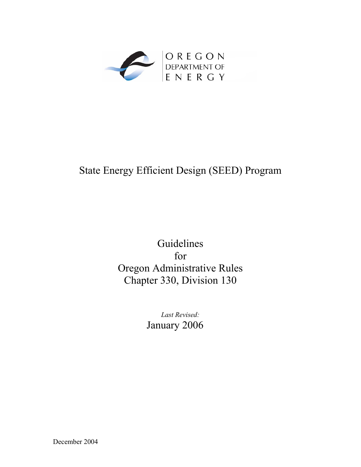

## State Energy Efficient Design (SEED) Program

## Guidelines for Oregon Administrative Rules Chapter 330, Division 130

*Last Revised:* January 2006

December 2004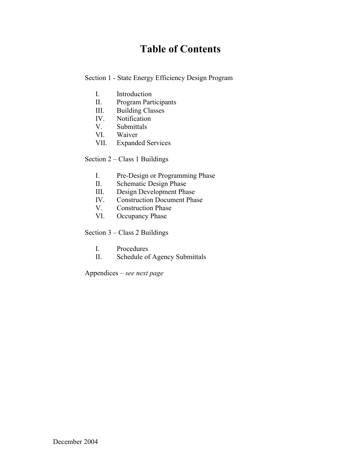## **Table of Contents**

Section 1 - State Energy Efficiency Design Program

- I. Introduction
- II. Program Participants
- III. Building Classes
- IV. Notification
- V. Submittals
- VI. Waiver
- VII. Expanded Services

Section 2 – Class 1 Buildings

- I. Pre-Design or Programming Phase
- II. Schematic Design Phase
- III. Design Development Phase
- IV. Construction Document Phase
- V. Construction Phase
- VI. Occupancy Phase

Section 3 – Class 2 Buildings

- I. Procedures
- II. Schedule of Agency Submittals

Appendices – *see next page*